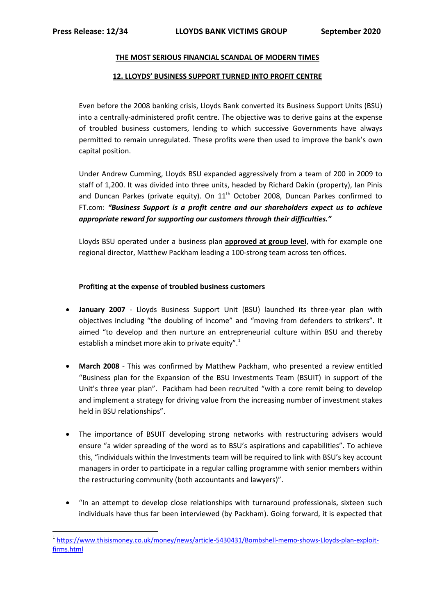**.** 

## **THE MOST SERIOUS FINANCIAL SCANDAL OF MODERN TIMES**

## **12. LLOYDS' BUSINESS SUPPORT TURNED INTO PROFIT CENTRE**

Even before the 2008 banking crisis, Lloyds Bank converted its Business Support Units (BSU) into a centrally-administered profit centre. The objective was to derive gains at the expense of troubled business customers, lending to which successive Governments have always permitted to remain unregulated. These profits were then used to improve the bank's own capital position.

Under Andrew Cumming, Lloyds BSU expanded aggressively from a team of 200 in 2009 to staff of 1,200. It was divided into three units, headed by Richard Dakin (property), Ian Pinis and Duncan Parkes (private equity). On  $11<sup>th</sup>$  October 2008, Duncan Parkes confirmed to FT.com: *"Business Support is a profit centre and our shareholders expect us to achieve appropriate reward for supporting our customers through their difficulties."* 

Lloyds BSU operated under a business plan **approved at group level**, with for example one regional director, Matthew Packham leading a 100-strong team across ten offices.

## **Profiting at the expense of troubled business customers**

- **January 2007** Lloyds Business Support Unit (BSU) launched its three-year plan with objectives including "the doubling of income" and "moving from defenders to strikers". It aimed "to develop and then nurture an entrepreneurial culture within BSU and thereby establish a mindset more akin to private equity". $<sup>1</sup>$ </sup>
- **March 2008** This was confirmed by Matthew Packham, who presented a review entitled "Business plan for the Expansion of the BSU Investments Team (BSUIT) in support of the Unit's three year plan". Packham had been recruited "with a core remit being to develop and implement a strategy for driving value from the increasing number of investment stakes held in BSU relationships".
- The importance of BSUIT developing strong networks with restructuring advisers would ensure "a wider spreading of the word as to BSU's aspirations and capabilities". To achieve this, "individuals within the Investments team will be required to link with BSU's key account managers in order to participate in a regular calling programme with senior members within the restructuring community (both accountants and lawyers)".
- "In an attempt to develop close relationships with turnaround professionals, sixteen such individuals have thus far been interviewed (by Packham). Going forward, it is expected that

<sup>&</sup>lt;sup>1</sup> [https://www.thisismoney.co.uk/money/news/article-5430431/Bombshell-memo-shows-Lloyds-plan-exploit](https://www.thisismoney.co.uk/money/news/article-5430431/Bombshell-memo-shows-Lloyds-plan-exploit-firms.html)[firms.html](https://www.thisismoney.co.uk/money/news/article-5430431/Bombshell-memo-shows-Lloyds-plan-exploit-firms.html)